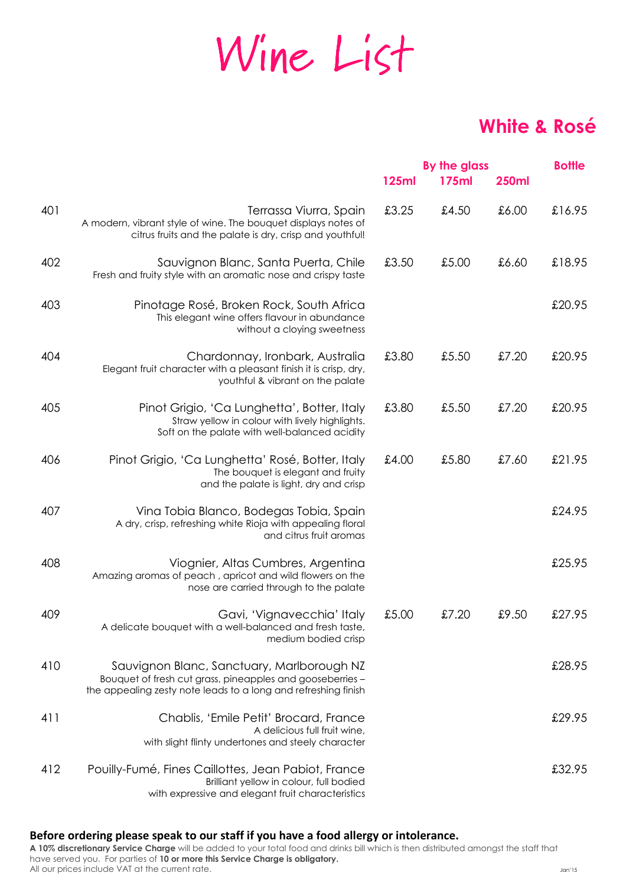# Wine List

## **White & Rosé**

|     |                                                                                                                                                                           |              | By the glass |              | <b>Bottle</b> |
|-----|---------------------------------------------------------------------------------------------------------------------------------------------------------------------------|--------------|--------------|--------------|---------------|
|     |                                                                                                                                                                           | <b>125ml</b> | <b>175ml</b> | <b>250ml</b> |               |
| 401 | Terrassa Viurra, Spain<br>A modern, vibrant style of wine. The bouquet displays notes of<br>citrus fruits and the palate is dry, crisp and youthful!                      | £3.25        | £4.50        | £6.00        | £16.95        |
| 402 | Sauvignon Blanc, Santa Puerta, Chile<br>Fresh and fruity style with an aromatic nose and crispy taste                                                                     | £3.50        | £5.00        | £6.60        | £18.95        |
| 403 | Pinotage Rosé, Broken Rock, South Africa<br>This elegant wine offers flavour in abundance<br>without a cloying sweetness                                                  |              |              |              | £20.95        |
| 404 | Chardonnay, Ironbark, Australia<br>Elegant fruit character with a pleasant finish it is crisp, dry,<br>youthful & vibrant on the palate                                   | £3.80        | £5.50        | £7.20        | £20.95        |
| 405 | Pinot Grigio, 'Ca Lunghetta', Botter, Italy<br>Straw yellow in colour with lively highlights.<br>Soft on the palate with well-balanced acidity                            | £3.80        | £5.50        | £7.20        | £20.95        |
| 406 | Pinot Grigio, 'Ca Lunghetta' Rosé, Botter, Italy<br>The bouquet is elegant and fruity<br>and the palate is light, dry and crisp                                           | £4.00        | £5.80        | £7.60        | £21.95        |
| 407 | Vina Tobia Blanco, Bodegas Tobia, Spain<br>A dry, crisp, refreshing white Rioja with appealing floral<br>and citrus fruit aromas                                          |              |              |              | £24.95        |
| 408 | Viognier, Altas Cumbres, Argentina<br>Amazing aromas of peach, apricot and wild flowers on the<br>nose are carried through to the palate                                  |              |              |              | £25.95        |
| 409 | Gavi, 'Vignavecchia' Italy<br>A delicate bouquet with a well-balanced and fresh taste,<br>medium bodied crisp                                                             | £5.00        | £7.20        | £9.50        | £27.95        |
| 410 | Sauvignon Blanc, Sanctuary, Marlborough NZ<br>Bouquet of fresh cut grass, pineapples and gooseberries -<br>the appealing zesty note leads to a long and refreshing finish |              |              |              | £28.95        |
| 411 | Chablis, 'Emile Petit' Brocard, France<br>A delicious full fruit wine,<br>with slight flinty undertones and steely character                                              |              |              |              | £29.95        |
| 412 | Pouilly-Fumé, Fines Caillottes, Jean Pabiot, France<br>Brilliant yellow in colour, full bodied<br>with expressive and elegant fruit characteristics                       |              |              |              | £32.95        |

### **Before ordering please speak to our staff if you have a food allergy or intolerance.**

**A 10% discretionary Service Charge** will be added to your total food and drinks bill which is then distributed amongst the staff that have served you. For parties of **10 or more this Service Charge is obligatory.** All our prices include VAT at the current rate.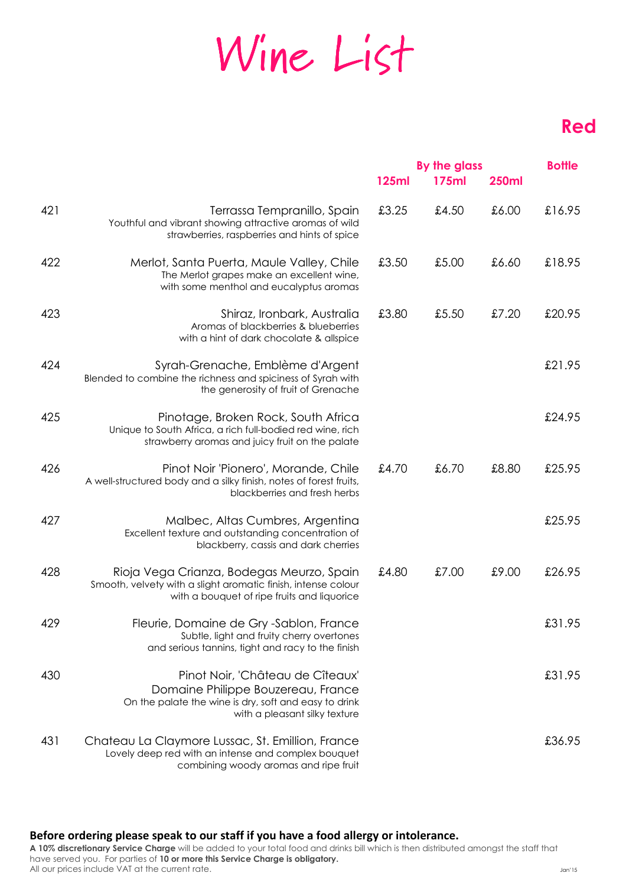# Wine List

## **Red**

|     |                                                                                                                                                                  | <b>125ml</b> | By the glass<br><b>175ml</b> | <b>250ml</b> | <b>Bottle</b> |
|-----|------------------------------------------------------------------------------------------------------------------------------------------------------------------|--------------|------------------------------|--------------|---------------|
| 421 | Terrassa Tempranillo, Spain<br>Youthful and vibrant showing attractive aromas of wild<br>strawberries, raspberries and hints of spice                            | £3.25        | £4.50                        | £6.00        | £16.95        |
| 422 | Merlot, Santa Puerta, Maule Valley, Chile<br>The Merlot grapes make an excellent wine,<br>with some menthol and eucalyptus aromas                                | £3.50        | £5.00                        | £6.60        | £18.95        |
| 423 | Shiraz, Ironbark, Australia<br>Aromas of blackberries & blueberries<br>with a hint of dark chocolate & allspice                                                  | £3.80        | £5.50                        | £7.20        | £20.95        |
| 424 | Syrah-Grenache, Emblème d'Argent<br>Blended to combine the richness and spiciness of Syrah with<br>the generosity of fruit of Grenache                           |              |                              |              | £21.95        |
| 425 | Pinotage, Broken Rock, South Africa<br>Unique to South Africa, a rich full-bodied red wine, rich<br>strawberry aromas and juicy fruit on the palate              |              |                              |              | £24.95        |
| 426 | Pinot Noir 'Pionero', Morande, Chile<br>A well-structured body and a silky finish, notes of forest fruits,<br>blackberries and fresh herbs                       | £4.70        | £6.70                        | £8.80        | £25.95        |
| 427 | Malbec, Altas Cumbres, Argentina<br>Excellent texture and outstanding concentration of<br>blackberry, cassis and dark cherries                                   |              |                              |              | £25.95        |
| 428 | Rioja Vega Crianza, Bodegas Meurzo, Spain<br>Smooth, velvety with a slight aromatic finish, intense colour<br>with a bouquet of ripe fruits and liquorice        | £4.80        | £7.00                        | £9.00        | £26.95        |
| 429 | Fleurie, Domaine de Gry -Sablon, France<br>Subtle, light and fruity cherry overtones<br>and serious tannins, tight and racy to the finish                        |              |                              |              | £31.95        |
| 430 | Pinot Noir, 'Château de Cîteaux'<br>Domaine Philippe Bouzereau, France<br>On the palate the wine is dry, soft and easy to drink<br>with a pleasant silky texture |              |                              |              | £31.95        |
| 431 | Chateau La Claymore Lussac, St. Emillion, France<br>Lovely deep red with an intense and complex bouquet<br>combining woody aromas and ripe fruit                 |              |                              |              | £36.95        |

#### **Before ordering please speak to our staff if you have a food allergy or intolerance.**

**A 10% discretionary Service Charge** will be added to your total food and drinks bill which is then distributed amongst the staff that have served you. For parties of **10 or more this Service Charge is obligatory.** All our prices include VAT at the current rate.